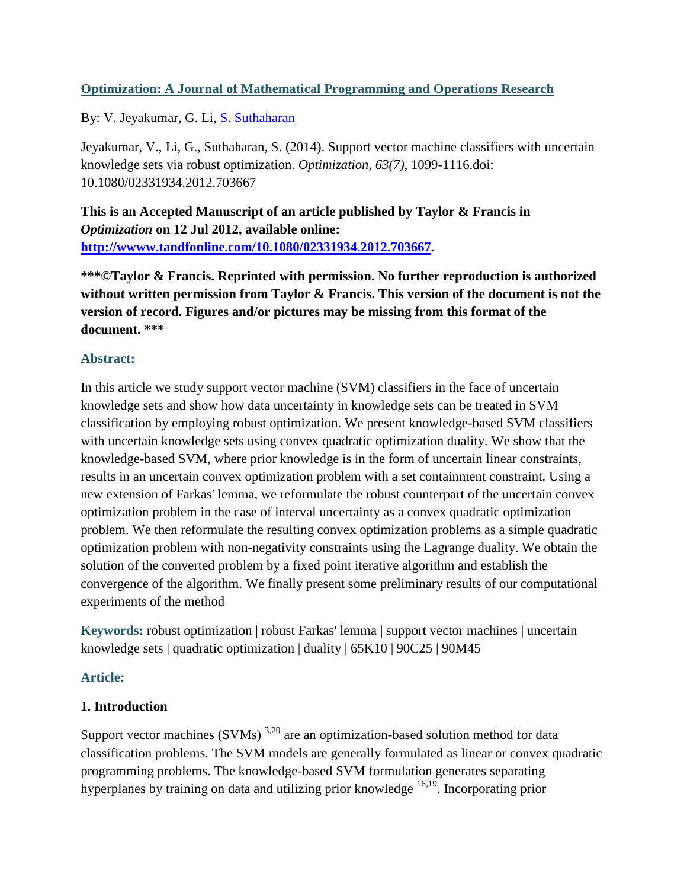# **Optimization: A Journal of Mathematical Programming and Operations Research**

By: V. Jeyakumar, G. Li, [S. Suthaharan](http://libres.uncg.edu/ir/uncg/clist.aspx?id=584)

Jeyakumar, V., Li, G., Suthaharan, S. (2014). Support vector machine classifiers with uncertain knowledge sets via robust optimization. *Optimization, 63(7)*, 1099-1116.doi: 10.1080/02331934.2012.703667

**This is an Accepted Manuscript of an article published by Taylor & Francis in**  *Optimization* **on 12 Jul 2012, available online: [http://wwww.tandfonline.com/10.1080/02331934.2012.703667.](http://wwww.tandfonline.com/10.1080/02331934.2012.703667)**

**\*\*\*©Taylor & Francis. Reprinted with permission. No further reproduction is authorized without written permission from Taylor & Francis. This version of the document is not the version of record. Figures and/or pictures may be missing from this format of the document. \*\*\***

# **Abstract:**

In this article we study support vector machine (SVM) classifiers in the face of uncertain knowledge sets and show how data uncertainty in knowledge sets can be treated in SVM classification by employing robust optimization. We present knowledge-based SVM classifiers with uncertain knowledge sets using convex quadratic optimization duality. We show that the knowledge-based SVM, where prior knowledge is in the form of uncertain linear constraints, results in an uncertain convex optimization problem with a set containment constraint. Using a new extension of Farkas' lemma, we reformulate the robust counterpart of the uncertain convex optimization problem in the case of interval uncertainty as a convex quadratic optimization problem. We then reformulate the resulting convex optimization problems as a simple quadratic optimization problem with non-negativity constraints using the Lagrange duality. We obtain the solution of the converted problem by a fixed point iterative algorithm and establish the convergence of the algorithm. We finally present some preliminary results of our computational experiments of the method

**Keywords:** robust optimization | robust Farkas' lemma | support vector machines | uncertain knowledge sets | quadratic optimization | duality | 65K10 | 90C25 | 90M45

# **Article:**

# **1. Introduction**

Support vector machines (SVMs)  $3,20$  are an optimization-based solution method for data classification problems. The SVM models are generally formulated as linear or convex quadratic programming problems. The knowledge-based SVM formulation generates separating hyperplanes by training on data and utilizing prior knowledge <sup>16,19</sup>. Incorporating prior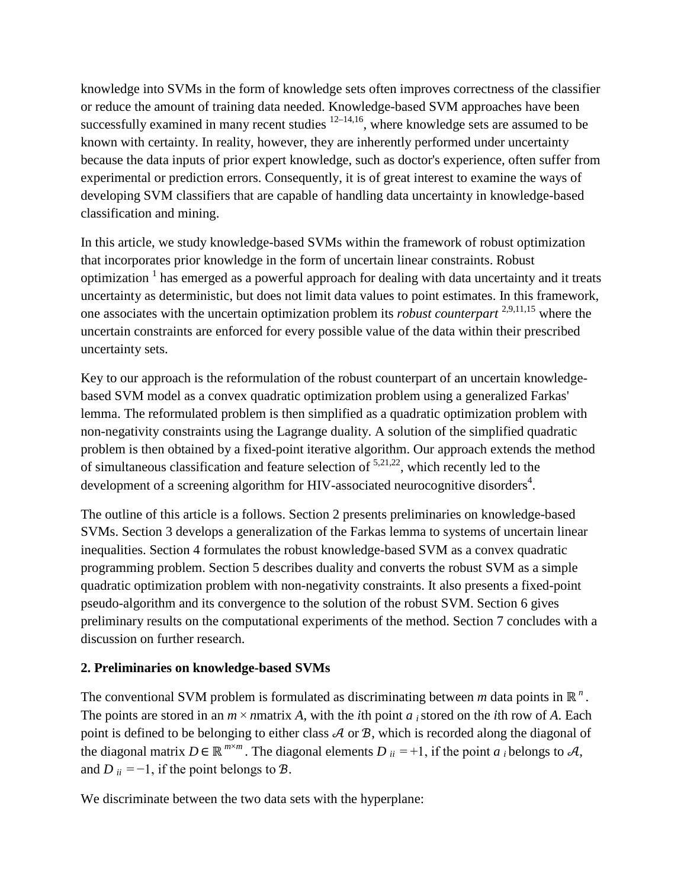knowledge into SVMs in the form of knowledge sets often improves correctness of the classifier or reduce the amount of training data needed. Knowledge-based SVM approaches have been successfully examined in many recent studies  $12-14,16$ , where knowledge sets are assumed to be known with certainty. In reality, however, they are inherently performed under uncertainty because the data inputs of prior expert knowledge, such as doctor's experience, often suffer from experimental or prediction errors. Consequently, it is of great interest to examine the ways of developing SVM classifiers that are capable of handling data uncertainty in knowledge-based classification and mining.

In this article, we study knowledge-based SVMs within the framework of robust optimization that incorporates prior knowledge in the form of uncertain linear constraints. Robust optimization  $<sup>1</sup>$  has emerged as a powerful approach for dealing with data uncertainty and it treats</sup> uncertainty as deterministic, but does not limit data values to point estimates. In this framework, one associates with the uncertain optimization problem its *robust counterpart* 2,9,11,15 where the uncertain constraints are enforced for every possible value of the data within their prescribed uncertainty sets.

Key to our approach is the reformulation of the robust counterpart of an uncertain knowledgebased SVM model as a convex quadratic optimization problem using a generalized Farkas' lemma. The reformulated problem is then simplified as a quadratic optimization problem with non-negativity constraints using the Lagrange duality. A solution of the simplified quadratic problem is then obtained by a fixed-point iterative algorithm. Our approach extends the method of simultaneous classification and feature selection of  $5,21,22$ , which recently led to the development of a screening algorithm for HIV-associated neurocognitive disorders $^4$ .

The outline of this article is a follows. Section 2 presents preliminaries on knowledge-based SVMs. Section 3 develops a generalization of the Farkas lemma to systems of uncertain linear inequalities. Section 4 formulates the robust knowledge-based SVM as a convex quadratic programming problem. Section 5 describes duality and converts the robust SVM as a simple quadratic optimization problem with non-negativity constraints. It also presents a fixed-point pseudo-algorithm and its convergence to the solution of the robust SVM. Section 6 gives preliminary results on the computational experiments of the method. Section 7 concludes with a discussion on further research.

# **2. Preliminaries on knowledge-based SVMs**

The conventional SVM problem is formulated as discriminating between *m* data points in ℝ<sup>*n*</sup>. The points are stored in an  $m \times n$  *matrix A*, with the *i*th point *a i* stored on the *i*th row of *A*. Each point is defined to be belonging to either class  $A$  or  $B$ , which is recorded along the diagonal of the diagonal matrix  $D \in \mathbb{R}^{m \times m}$ . The diagonal elements  $D_{ii} = +1$ , if the point  $a_i$  belongs to  $\mathcal{A}$ , and  $D_{ii} = -1$ , if the point belongs to  $B$ .

We discriminate between the two data sets with the hyperplane: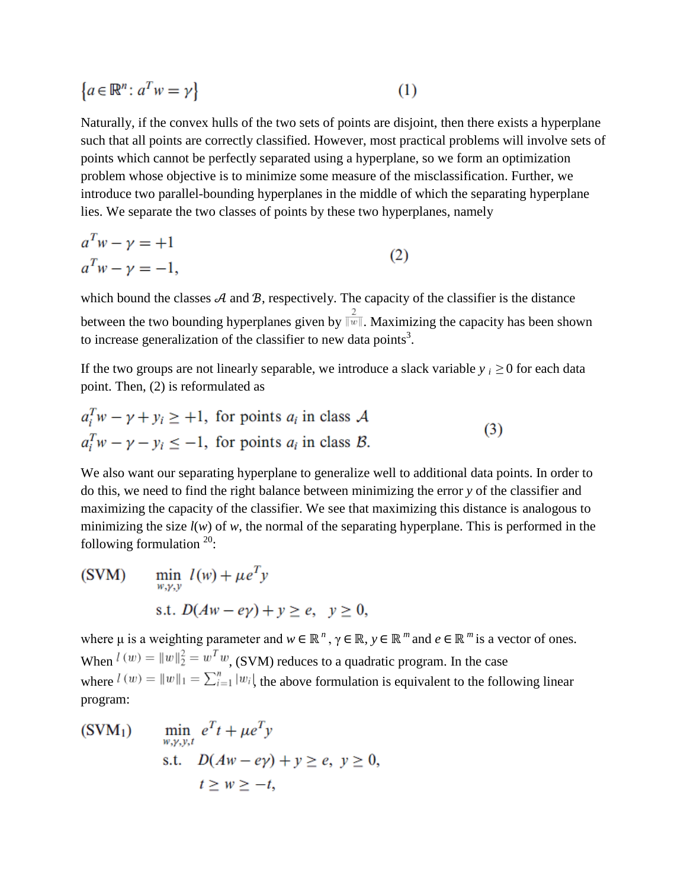$$
\{a \in \mathbb{R}^n \colon a^T w = \gamma\}
$$
 (1)

Naturally, if the convex hulls of the two sets of points are disjoint, then there exists a hyperplane such that all points are correctly classified. However, most practical problems will involve sets of points which cannot be perfectly separated using a hyperplane, so we form an optimization problem whose objective is to minimize some measure of the misclassification. Further, we introduce two parallel-bounding hyperplanes in the middle of which the separating hyperplane lies. We separate the two classes of points by these two hyperplanes, namely

$$
aTw - \gamma = +1
$$
  
\n
$$
aTw - \gamma = -1,
$$
\n(2)

which bound the classes  $A$  and  $B$ , respectively. The capacity of the classifier is the distance between the two bounding hyperplanes given by  $\frac{2}{\|\mathbf{w}\|}$ . Maximizing the capacity has been shown to increase generalization of the classifier to new data points<sup>3</sup>.

If the two groups are not linearly separable, we introduce a slack variable  $y_i \geq 0$  for each data point. Then, (2) is reformulated as

$$
a_i^T w - \gamma + y_i \ge +1, \text{ for points } a_i \text{ in class } A
$$
  

$$
a_i^T w - \gamma - y_i \le -1, \text{ for points } a_i \text{ in class } B.
$$
 (3)

We also want our separating hyperplane to generalize well to additional data points. In order to do this, we need to find the right balance between minimizing the error *y* of the classifier and maximizing the capacity of the classifier. We see that maximizing this distance is analogous to minimizing the size  $l(w)$  of w, the normal of the separating hyperplane. This is performed in the following formulation  $20$ :

(SVM) 
$$
\min_{w,y,y} l(w) + \mu e^{T} y
$$
  
s.t.  $D(Aw - ey) + y \ge e, y \ge 0,$ 

where  $\mu$  is a weighting parameter and  $w \in \mathbb{R}^n$ ,  $\gamma \in \mathbb{R}$ ,  $y \in \mathbb{R}^m$  and  $e \in \mathbb{R}^m$  is a vector of ones. When  $l(w) = ||w||_2^2 = w^T w$ , (SVM) reduces to a quadratic program. In the case where  $l(w) = ||w||_1 = \sum_{i=1}^{n} |w_i|$  the above formulation is equivalent to the following linear program:

 $\min_{w,y,y,t} e^T t + \mu e^T y$  $(SVM<sub>1</sub>)$ s.t.  $D(Aw - ey) + y \ge e, y \ge 0$ ,  $t > w > -t$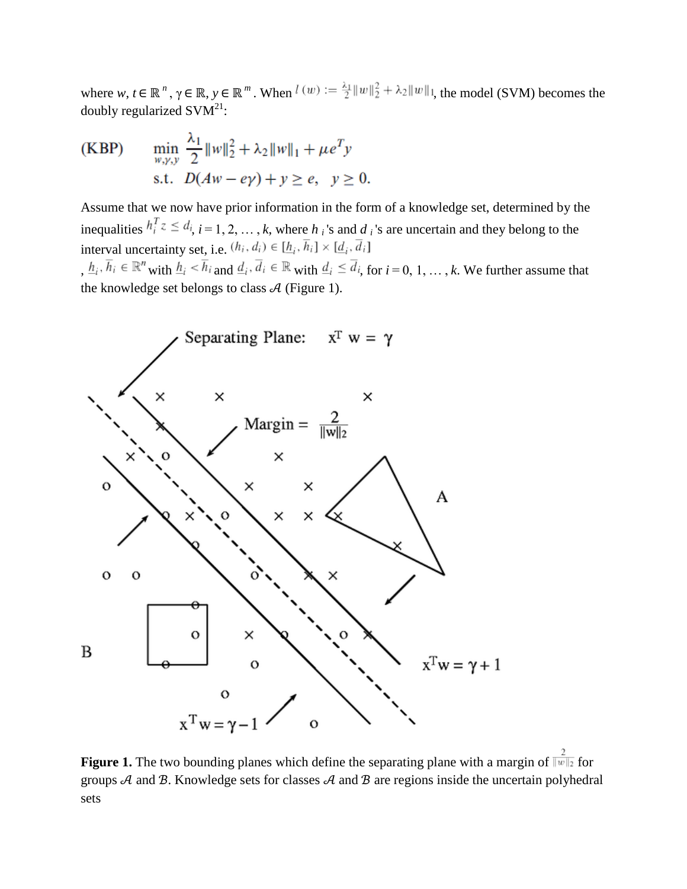where  $w, t \in \mathbb{R}^n$ ,  $\gamma \in \mathbb{R}$ ,  $y \in \mathbb{R}^m$ . When  $l(w) := \frac{\lambda_1}{2} ||w||_2^2 + \lambda_2 ||w||_1$ , the model (SVM) becomes the doubly regularized  $\text{SVM}^{21}$ :

$$
\begin{aligned} \text{(KBP)} \qquad & \min_{w, \gamma, y} \frac{\lambda_1}{2} \|w\|_2^2 + \lambda_2 \|w\|_1 + \mu e^T y \\ & \text{s.t.} \quad D(Aw - e\gamma) + y \ge e, \quad y \ge 0. \end{aligned}
$$

Assume that we now have prior information in the form of a knowledge set, determined by the inequalities  $h_i^T z \leq d_i$ ,  $i = 1, 2, ..., k$ , where  $h_i$  's and  $d_i$  's are uncertain and they belong to the interval uncertainty set, i.e.  $(h_i, d_i) \in [\underline{h}_i, \overline{h}_i] \times [\underline{d}_i, \overline{d}_i]$ 

,  $\underline{h}_i$ ,  $\overline{h}_i \in \mathbb{R}^n$  with  $\underline{h}_i < \overline{h}_i$  and  $\underline{d}_i$ ,  $\overline{d}_i \in \mathbb{R}$  with  $\underline{d}_i \leq \overline{d}_i$ , for  $i = 0, 1, ..., k$ . We further assume that the knowledge set belongs to class  $A$  (Figure 1).



**Figure 1.** The two bounding planes which define the separating plane with a margin of  $\frac{2}{\|w\|_2}$  for groups  $A$  and  $B$ . Knowledge sets for classes  $A$  and  $B$  are regions inside the uncertain polyhedral sets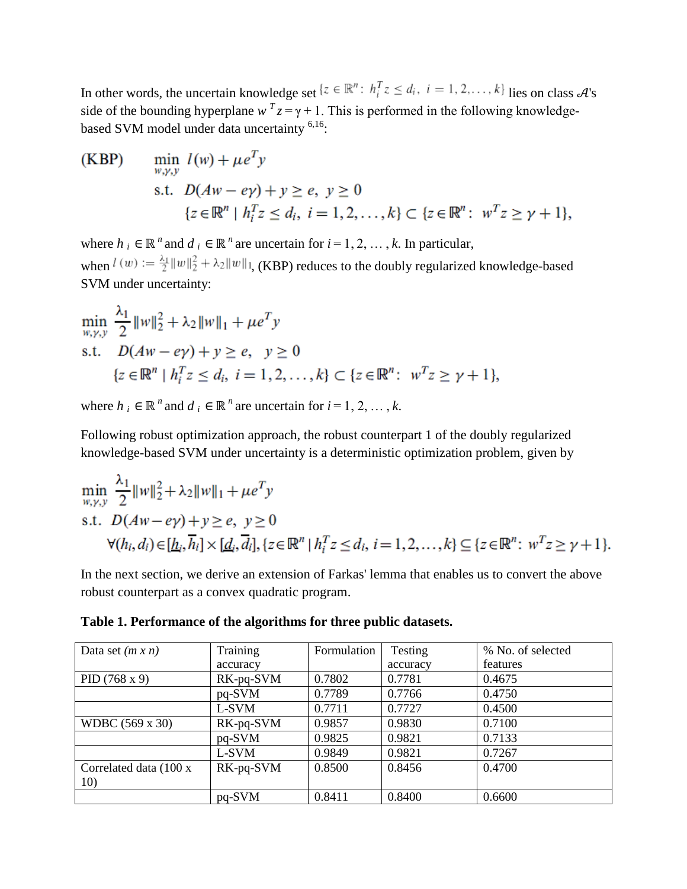In other words, the uncertain knowledge set  $\{z \in \mathbb{R}^n : h_i^T z \le d_i, i = 1, 2, ..., k\}$  lies on class  $\mathcal{A}$ 's side of the bounding hyperplane  $w^T z = \gamma + 1$ . This is performed in the following knowledgebased SVM model under data uncertainty <sup>6,16</sup>:

(KBP) 
$$
\min_{w,y,y} l(w) + \mu e^T y
$$
  
s.t.  $D(Aw - ey) + y \ge e, y \ge 0$   
 $\{z \in \mathbb{R}^n \mid h_i^T z \le d_i, i = 1, 2, ..., k\} \subset \{z \in \mathbb{R}^n : w^T z \ge \gamma + 1\},\$ 

where  $h_i \in \mathbb{R}^n$  and  $d_i \in \mathbb{R}^n$  are uncertain for  $i = 1, 2, ..., k$ . In particular, when  $l(w) := \frac{\lambda_1}{2} ||w||_2^2 + \lambda_2 ||w||_1$ , (KBP) reduces to the doubly regularized knowledge-based SVM under uncertainty:

$$
\min_{w,y,y} \frac{\lambda_1}{2} ||w||_2^2 + \lambda_2 ||w||_1 + \mu e^T y
$$
\ns.t.

\n
$$
D(Aw - e\gamma) + y \ge e, \quad y \ge 0
$$
\n
$$
\{z \in \mathbb{R}^n \mid h_i^T z \le d_i, \ i = 1, 2, \dots, k\} \subset \{z \in \mathbb{R}^n \colon \ w^T z \ge \gamma + 1\},
$$

where  $h_i \in \mathbb{R}^n$  and  $d_i \in \mathbb{R}^n$  are uncertain for  $i = 1, 2, ..., k$ .

Following robust optimization approach, the robust counterpart 1 of the doubly regularized knowledge-based SVM under uncertainty is a deterministic optimization problem, given by

$$
\min_{w,y,y} \frac{\lambda_1}{2} ||w||_2^2 + \lambda_2 ||w||_1 + \mu e^T y
$$
  
s.t.  $D(Aw - e\gamma) + y \ge e, y \ge 0$   

$$
\forall (h_i, d_i) \in [\underline{h}_i, \overline{h}_i] \times [\underline{d}_i, \overline{d}_i], \{z \in \mathbb{R}^n | h_i^T z \le d_i, i = 1, 2, ..., k\} \subseteq \{z \in \mathbb{R}^n : w^T z \ge \gamma + 1\}.
$$

In the next section, we derive an extension of Farkas' lemma that enables us to convert the above robust counterpart as a convex quadratic program.

**Table 1. Performance of the algorithms for three public datasets.**

| Data set $(m x n)$      | Training  | Formulation | Testing  | % No. of selected |
|-------------------------|-----------|-------------|----------|-------------------|
|                         | accuracy  |             | accuracy | features          |
| PID $(768 \times 9)$    | RK-pq-SVM | 0.7802      | 0.7781   | 0.4675            |
|                         | pq-SVM    | 0.7789      | 0.7766   | 0.4750            |
|                         | L-SVM     | 0.7711      | 0.7727   | 0.4500            |
| WDBC (569 x 30)         | RK-pq-SVM | 0.9857      | 0.9830   | 0.7100            |
|                         | pq-SVM    | 0.9825      | 0.9821   | 0.7133            |
|                         | L-SVM     | 0.9849      | 0.9821   | 0.7267            |
| Correlated data (100 x) | RK-pq-SVM | 0.8500      | 0.8456   | 0.4700            |
| 10)                     |           |             |          |                   |
|                         | pq-SVM    | 0.8411      | 0.8400   | 0.6600            |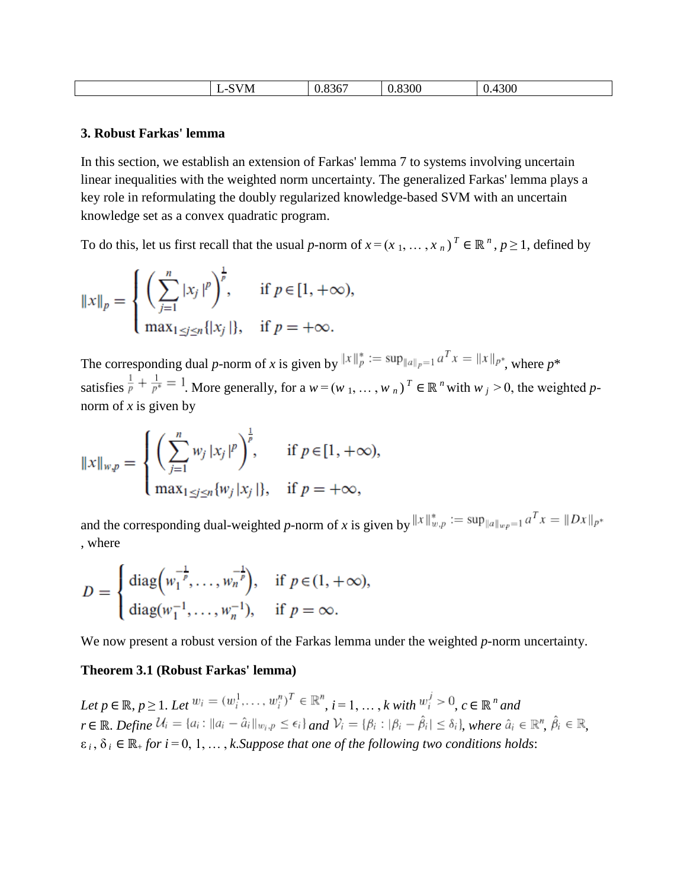#### **3. Robust Farkas' lemma**

In this section, we establish an extension of Farkas' lemma 7 to systems involving uncertain linear inequalities with the weighted norm uncertainty. The generalized Farkas' lemma plays a key role in reformulating the doubly regularized knowledge-based SVM with an uncertain knowledge set as a convex quadratic program.

To do this, let us first recall that the usual *p*-norm of  $x = (x_1, \ldots, x_n)^T \in \mathbb{R}^n$ ,  $p \ge 1$ , defined by

$$
||x||_p = \begin{cases} \left(\sum_{j=1}^n |x_j|^p\right)^{\frac{1}{p}}, & \text{if } p \in [1, +\infty),\\ \max_{1 \le j \le n} \{|x_j|\}, & \text{if } p = +\infty. \end{cases}
$$

The corresponding dual *p*-norm of *x* is given by  $||x||_p^* := \sup_{||a||_p = 1} a^T x = ||x||_{p^*}$ , where  $p^*$ satisfies  $\frac{1}{p} + \frac{1}{p^*} = 1$ . More generally, for a  $w = (w_1, \ldots, w_n)^T \in \mathbb{R}^n$  with  $w_j > 0$ , the weighted *p*norm of  $x$  is given by

$$
||x||_{w,p} = \begin{cases} \left(\sum_{j=1}^{n} w_j |x_j|^p\right)^{\frac{1}{p}}, & \text{if } p \in [1, +\infty),\\ \max_{1 \le j \le n} \{w_j |x_j|\}, & \text{if } p = +\infty, \end{cases}
$$

and the corresponding dual-weighted *p*-norm of *x* is given by  $||x||_{w,p}^* := \sup_{||a||_{w,p}=1} a^T x = ||Dx||_{p^*}$ , where

$$
D = \begin{cases} \text{diag}\left(w_1^{-\frac{1}{p}}, \dots, w_n^{-\frac{1}{p}}\right), & \text{if } p \in (1, +\infty), \\ \text{diag}(w_1^{-1}, \dots, w_n^{-1}), & \text{if } p = \infty. \end{cases}
$$

We now present a robust version of the Farkas lemma under the weighted *p*-norm uncertainty.

#### **Theorem 3.1 (Robust Farkas' lemma)**

*Let*  $p \in \mathbb{R}, p \ge 1$ . *Let*  $w_i = (w_i^1, \ldots, w_i^n)^T \in \mathbb{R}^n$ ,  $i = 1, \ldots, k$  with  $w_i^j > 0$ ,  $c \in \mathbb{R}^n$  and  $r \in \mathbb{R}$ . *Define*  $\mathcal{U}_i = \{a_i : ||a_i - \hat{a}_i||_{w_i, p} \leq \epsilon_i\}$  and  $\mathcal{V}_i = \{\beta_i : |\beta_i - \hat{\beta}_i| \leq \delta_i\}$ , where  $\hat{a}_i \in \mathbb{R}^n$ ,  $\hat{\beta}_i \in \mathbb{R}$ .  $\varepsilon_i$ ,  $\delta_i \in \mathbb{R}$  *for i* = 0, 1, ..., *k*. Suppose that one of the following two conditions holds: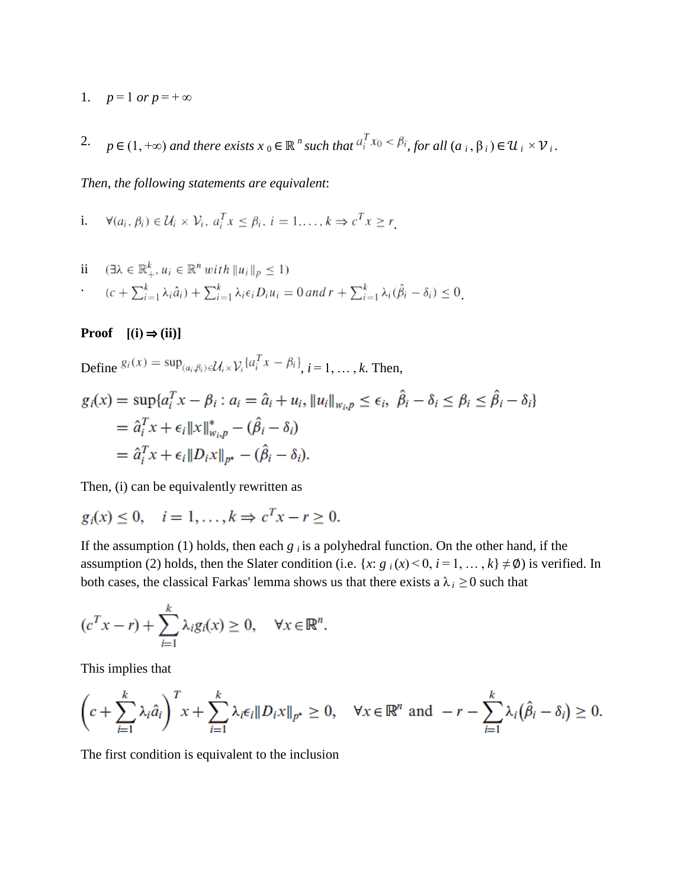- 1.  $p=1 \text{ or } p=+\infty$
- 2.  $p \in (1, +\infty)$  *and there exists*  $x_0 \in \mathbb{R}^n$  *such that*  $a_i^T x_0 \leq \beta_i$ , for all  $(a_i, \beta_i) \in \mathcal{U}_i \times \mathcal{V}_i$ .

*Then*, *the following statements are equivalent*:

i.  $\forall (a_i, \beta_i) \in \mathcal{U}_i \times \mathcal{V}_i, a_i^T x \leq \beta_i, i = 1, ..., k \Rightarrow c^T x \geq r$ 

$$
\begin{aligned}\n\text{ii} \quad & (\exists \lambda \in \mathbb{R}_+^k, u_i \in \mathbb{R}^n \text{ with } \|u_i\|_p \le 1) \\
& (c + \sum_{i=1}^k \lambda_i \hat{a}_i) + \sum_{i=1}^k \lambda_i \epsilon_i D_i u_i = 0 \text{ and } r + \sum_{i=1}^k \lambda_i (\hat{\beta}_i - \delta_i) \le 0.\n\end{aligned}
$$

**Proof**  $[(i) \Rightarrow (ii)]$ 

Define  $g_i(x) = \sup_{(a_i, \beta_i) \in \mathcal{U}_i \times \mathcal{V}_i} \{a_i^T x - \beta_i\}$ ,  $i = 1, \dots, k$ . Then,

$$
g_i(x) = \sup \{a_i^T x - \beta_i : a_i = \hat{a}_i + u_i, \|u_i\|_{w_{i},p} \le \epsilon_i, \ \hat{\beta}_i - \delta_i \le \hat{\beta}_i - \delta_i\}
$$
  
=  $\hat{a}_i^T x + \epsilon_i \|x\|_{w_{i},p}^* - (\hat{\beta}_i - \delta_i)$   
=  $\hat{a}_i^T x + \epsilon_i \|D_i x\|_{p^*} - (\hat{\beta}_i - \delta_i).$ 

Then, (i) can be equivalently rewritten as

$$
g_i(x) \le 0, \quad i = 1, \dots, k \Rightarrow c^T x - r \ge 0.
$$

If the assumption (1) holds, then each  $g_i$  is a polyhedral function. On the other hand, if the assumption (2) holds, then the Slater condition (i.e. {*x*:  $g_i(x) < 0$ ,  $i = 1, ..., k$ }  $\neq \emptyset$ ) is verified. In both cases, the classical Farkas' lemma shows us that there exists a  $\lambda_i \geq 0$  such that

$$
(c^T x - r) + \sum_{i=1}^k \lambda_i g_i(x) \ge 0, \quad \forall x \in \mathbb{R}^n.
$$

This implies that

$$
\left(c+\sum_{i=1}^k\lambda_i\hat{a}_i\right)^Tx+\sum_{i=1}^k\lambda_i\epsilon_i\|D_ix\|_{p^*}\geq 0, \quad \forall x\in\mathbb{R}^n \text{ and } -r-\sum_{i=1}^k\lambda_i\big(\hat{\beta}_i-\delta_i\big)\geq 0.
$$

The first condition is equivalent to the inclusion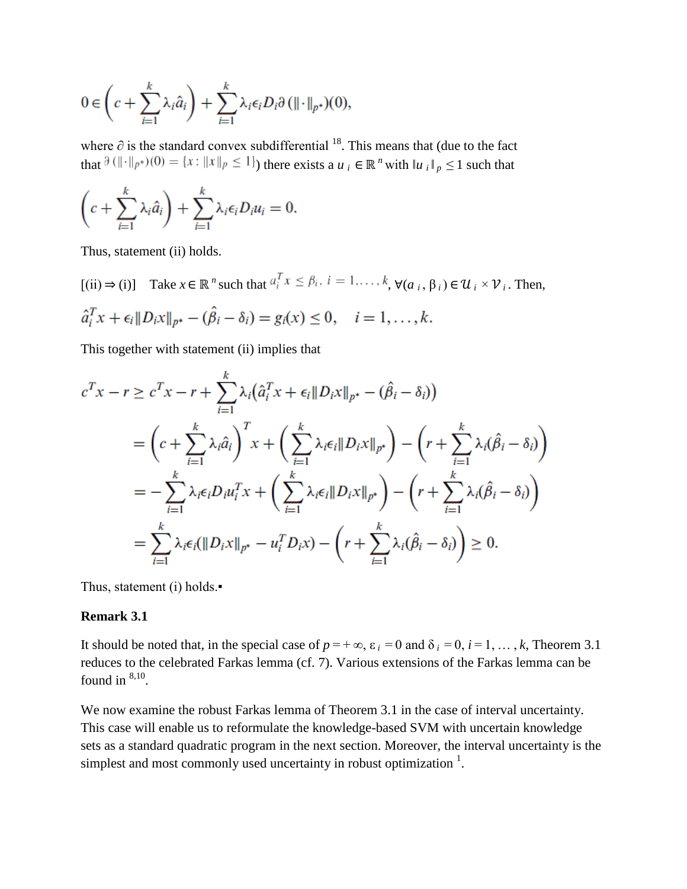$$
0 \in \left(c + \sum_{i=1}^k \lambda_i \hat{a}_i\right) + \sum_{i=1}^k \lambda_i \epsilon_i D_i \partial (\|\cdot\|_{p^*})(0),
$$

where  $\partial$  is the standard convex subdifferential <sup>18</sup>. This means that (due to the fact that  $\partial (\|\cdot\|_{p^*})(0) = \{x : ||x||_p \le 1\}$  there exists a  $u_i \in \mathbb{R}^n$  with  $||u_i||_p \le 1$  such that

$$
\left(c+\sum_{i=1}^k\lambda_i\hat{a}_i\right)+\sum_{i=1}^k\lambda_i\epsilon_iD_iu_i=0.
$$

Thus, statement (ii) holds.

 $[(ii) \Rightarrow (i)]$  Take  $x \in \mathbb{R}^n$  such that  $a_i^T x \leq \beta_i$ ,  $i = 1, ..., k$ ,  $\forall (a_i, \beta_i) \in \mathcal{U}_i \times \mathcal{V}_i$ . Then,  $\hat{a}_i^T x + \epsilon_i \|D_i x\|_{p^*} - (\hat{\beta}_i - \delta_i) = g_i(x) \leq 0, \quad i = 1, ..., k.$ 

This together with statement (ii) implies that

$$
c^{T}x - r \geq c^{T}x - r + \sum_{i=1}^{k} \lambda_{i} (\hat{a}_{i}^{T}x + \epsilon_{i} \|D_{i}x\|_{p^{*}} - (\hat{\beta}_{i} - \delta_{i}))
$$
  
=  $\left(c + \sum_{i=1}^{k} \lambda_{i} \hat{a}_{i}\right)^{T}x + \left(\sum_{i=1}^{k} \lambda_{i} \epsilon_{i} \|D_{i}x\|_{p^{*}}\right) - \left(r + \sum_{i=1}^{k} \lambda_{i} (\hat{\beta}_{i} - \delta_{i})\right)$   
=  $-\sum_{i=1}^{k} \lambda_{i} \epsilon_{i} D_{i} u_{i}^{T}x + \left(\sum_{i=1}^{k} \lambda_{i} \epsilon_{i} \|D_{i}x\|_{p^{*}}\right) - \left(r + \sum_{i=1}^{k} \lambda_{i} (\hat{\beta}_{i} - \delta_{i})\right)$   
=  $\sum_{i=1}^{k} \lambda_{i} \epsilon_{i} (\|D_{i}x\|_{p^{*}} - u_{i}^{T} D_{i}x) - \left(r + \sum_{i=1}^{k} \lambda_{i} (\hat{\beta}_{i} - \delta_{i})\right) \geq 0.$ 

Thus, statement (i) holds.

#### **Remark 3.1**

It should be noted that, in the special case of  $p = +\infty$ ,  $\varepsilon_i = 0$  and  $\delta_i = 0$ ,  $i = 1, \dots, k$ , Theorem 3.1 reduces to the celebrated Farkas lemma (cf. 7). Various extensions of the Farkas lemma can be found in  $8,10$ .

We now examine the robust Farkas lemma of Theorem 3.1 in the case of interval uncertainty. This case will enable us to reformulate the knowledge-based SVM with uncertain knowledge sets as a standard quadratic program in the next section. Moreover, the interval uncertainty is the simplest and most commonly used uncertainty in robust optimization  $<sup>1</sup>$ .</sup>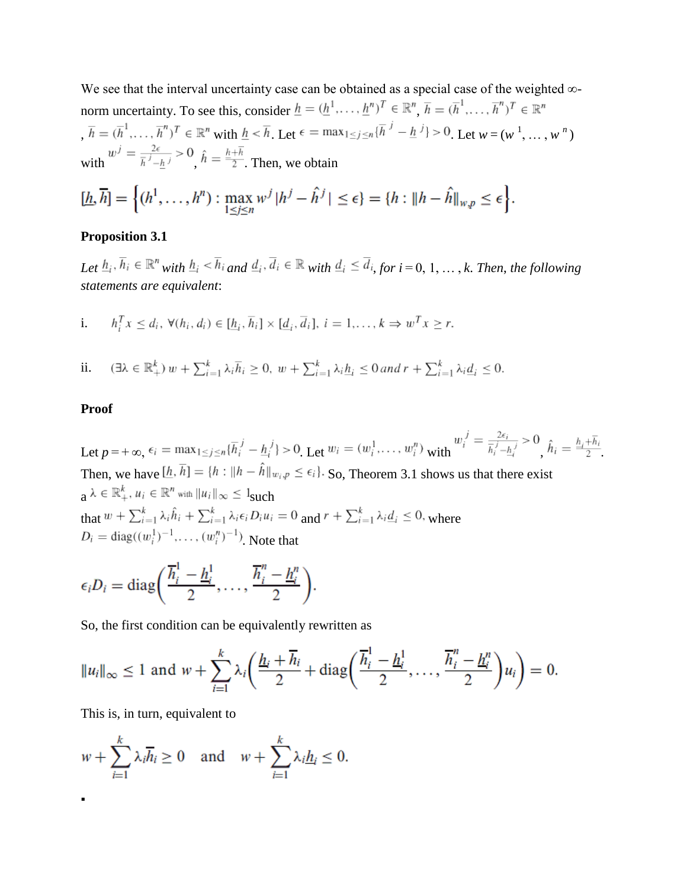We see that the interval uncertainty case can be obtained as a special case of the weighted ∞ norm uncertainty. To see this, consider  $\underline{h} = (\underline{h}^1, \dots, \underline{h}^n)^T \in \mathbb{R}^n$ ,  $\overline{h} = (\overline{h}^1, \dots, \overline{h}^n)^T \in \mathbb{R}^n$  $\overline{h} = (\overline{h}^1, \dots, \overline{h}^n)^T \in \mathbb{R}^n$  with  $\underline{h} < \overline{h}$ . Let  $\epsilon = \max_{1 \leq j \leq n} \{ h^j - \underline{h}^j \} > 0$ . Let  $w = (w^1, \dots, w^n)$ with  $w^{j} = \frac{2\epsilon}{\bar{h}^{j} - \bar{h}^{j}} > 0$ ,  $\hat{h} = \frac{\bar{h} + \bar{h}}{2}$ . Then, we obtain

$$
[\underline{h}, \overline{h}] = \left\{ (h^1, \dots, h^n) : \max_{1 \le j \le n} w^j | h^j - \hat{h}^j | \le \epsilon \right\} = \left\{ h : \| h - \hat{h} \|_{w, p} \le \epsilon \right\}
$$

#### **Proposition 3.1**

*Let*  $h_i$ ,  $\overline{h}_i \in \mathbb{R}^n$  with  $h_i \leq \overline{h}_i$  and  $\underline{d}_i$ ,  $\overline{d}_i \in \mathbb{R}$  with  $\underline{d}_i \leq \overline{d}_i$ , for  $i = 0, 1, ..., k$ . Then, the following *statements are equivalent*:

i. 
$$
h_i^T x \le d_i, \forall (h_i, d_i) \in [\underline{h}_i, \overline{h}_i] \times [\underline{d}_i, \overline{d}_i], i = 1, ..., k \Rightarrow w^T x \ge r.
$$

 $(\exists \lambda \in \mathbb{R}^k_+) w + \sum_{i=1}^k \lambda_i \overline{h}_i \geq 0, w + \sum_{i=1}^k \lambda_i \underline{h}_i \leq 0$  and  $r + \sum_{i=1}^k \lambda_i \underline{d}_i \leq 0$ . ii.

#### **Proof**

▪

Let  $p = +\infty$ ,  $\epsilon_i = \max_{1 \le j \le n} {\{\overline{h}_i^j - \underline{h}_i^j\}} > 0$ . Let  $w_i = (w_i^1, \dots, w_i^n)$  with  $w_i^j = \frac{2\epsilon_i}{\overline{h}_i^j - \underline{h}_i^j} > 0$ .  $\hat{h}_i = \frac{\overline{h}_i + \overline{h}_i}{2}$ Then, we have  $[h, \overline{h}] = \{h : ||h - \hat{h}||_{w_i, p} \le \epsilon_i\}$ . So, Theorem 3.1 shows us that there exist  $a \lambda \in \mathbb{R}^k_+$ ,  $u_i \in \mathbb{R}^n$  with  $||u_i||_{\infty} \leq 1$ such that  $w + \sum_{i=1}^{k} \lambda_i \hat{h}_i + \sum_{i=1}^{k} \lambda_i \epsilon_i D_i u_i = 0$  and  $r + \sum_{i=1}^{k} \lambda_i \underline{d}_i \leq 0$ , where  $D_i = \text{diag}((w_i^1)^{-1}, \dots, (w_i^n)^{-1})$  Note that

$$
\epsilon_i D_i = \text{diag}\bigg(\frac{\overline{h}_i^1 - \underline{h}_i^1}{2}, \dots, \frac{\overline{h}_i^n - \underline{h}_i^n}{2}\bigg).
$$

So, the first condition can be equivalently rewritten as

$$
||u_i||_{\infty} \le 1
$$
 and  $w + \sum_{i=1}^{k} \lambda_i \left( \frac{\underline{h}_i + \overline{h}_i}{2} + \text{diag}\left( \frac{\overline{h}_i^1 - \underline{h}_i^1}{2}, \dots, \frac{\overline{h}_i^n - \underline{h}_i^n}{2} \right) u_i \right) = 0.$ 

This is, in turn, equivalent to

$$
w + \sum_{i=1}^{k} \lambda_i \overline{h}_i \ge 0 \quad \text{and} \quad w + \sum_{i=1}^{k} \lambda_i \underline{h}_i \le 0.
$$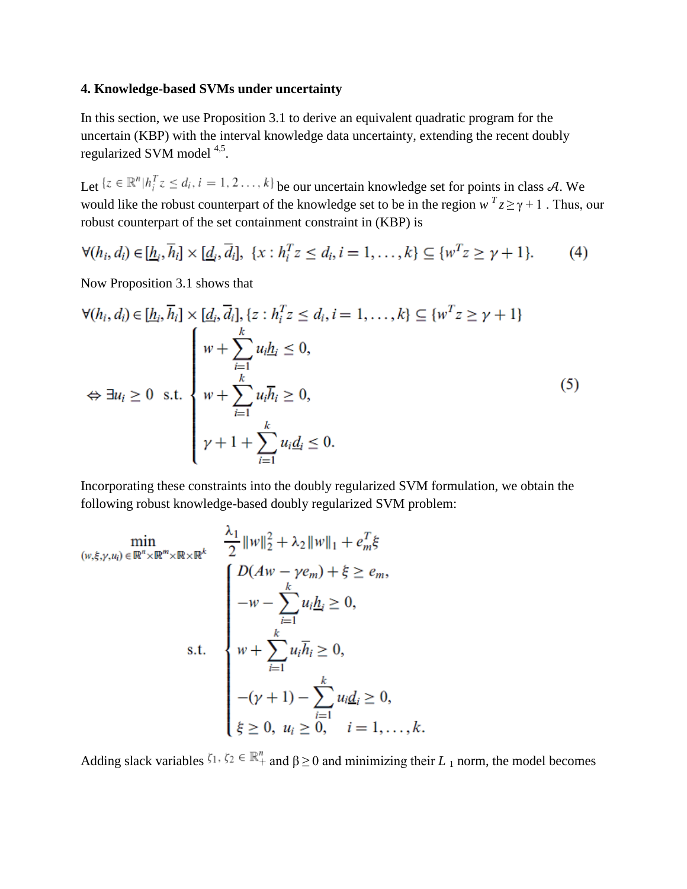### **4. Knowledge-based SVMs under uncertainty**

In this section, we use Proposition 3.1 to derive an equivalent quadratic program for the uncertain (KBP) with the interval knowledge data uncertainty, extending the recent doubly regularized SVM model 4,5.

Let  $\{z \in \mathbb{R}^n | h_i^T z \le d_i, i = 1, 2, ..., k\}$  be our uncertain knowledge set for points in class A. We would like the robust counterpart of the knowledge set to be in the region  $w^T z \ge \gamma + 1$ . Thus, our robust counterpart of the set containment constraint in (KBP) is

$$
\forall (h_i, d_i) \in [\underline{h}_i, \overline{h}_i] \times [\underline{d}_i, \overline{d}_i], \ \{x : h_i^T z \le d_i, i = 1, \dots, k\} \subseteq \{w^T z \ge \gamma + 1\}.
$$
 (4)

Now Proposition 3.1 shows that

$$
\forall (h_i, d_i) \in [\underline{h}_i, \overline{h}_i] \times [\underline{d}_i, \overline{d}_i], \{z : h_i^T z \le d_i, i = 1, \dots, k\} \subseteq \{w^T z \ge \gamma + 1\}
$$
  

$$
\Leftrightarrow \exists u_i \ge 0 \text{ s.t.} \begin{cases} w + \sum_{i=1}^k u_i \underline{h}_i \le 0, \\ w + \sum_{i=1}^k u_i \overline{h}_i \ge 0, \\ \gamma + 1 + \sum_{i=1}^k u_i \underline{d}_i \le 0. \end{cases}
$$
(5)

Incorporating these constraints into the doubly regularized SVM formulation, we obtain the following robust knowledge-based doubly regularized SVM problem:

$$
\min_{(w,\xi,\gamma,u_i)\in\mathbb{R}^n\times\mathbb{R}^m\times\mathbb{R}^k} \frac{\frac{\lambda_1}{2}||w||_2^2 + \lambda_2||w||_1 + e_m^T\xi}{2||w||_2^2 + \lambda_2||w||_1 + \xi_m^T\xi}
$$
\n
$$
-w - \sum_{i=1}^k u_i \underline{h}_i \ge 0,
$$
\n
$$
s.t. \quad w + \sum_{i=1}^k u_i \overline{h}_i \ge 0,
$$
\n
$$
-(\gamma + 1) - \sum_{i=1}^k u_i \underline{d}_i \ge 0,
$$
\n
$$
\xi \ge 0, u_i \ge 0, i = 1, ..., k.
$$

Adding slack variables  $\zeta_1, \zeta_2 \in \mathbb{R}^n_+$  and  $\beta > 0$  and minimizing their  $L_1$  norm, the model becomes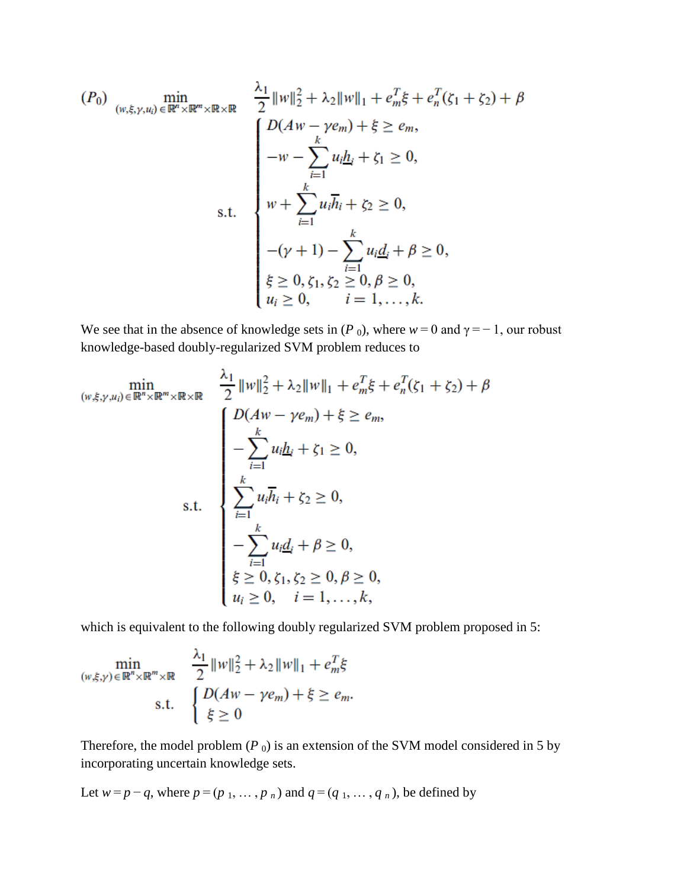$$
(P_0) \min_{(w,\xi,\gamma,u_i) \in \mathbb{R}^n \times \mathbb{R}^m \times \mathbb{R} \times \mathbb{R}} \frac{\lambda_1}{2} \|w\|_2^2 + \lambda_2 \|w\|_1 + e_m^T \xi + e_n^T (\zeta_1 + \zeta_2) + \beta
$$
  
\n
$$
D(Aw - \gamma e_m) + \xi \ge e_m,
$$
  
\n
$$
-w - \sum_{i=1}^k u_i \underline{h}_i + \zeta_1 \ge 0,
$$
  
\n
$$
w + \sum_{i=1}^k u_i \overline{h}_i + \zeta_2 \ge 0,
$$
  
\n
$$
-(\gamma + 1) - \sum_{i=1}^k u_i \underline{d}_i + \beta \ge 0,
$$
  
\n
$$
\xi \ge 0, \zeta_1, \zeta_2 \ge 0, \beta \ge 0,
$$
  
\n
$$
u_i \ge 0, \qquad i = 1, ..., k.
$$

We see that in the absence of knowledge sets in (*P* 0), where  $w = 0$  and  $\gamma = -1$ , our robust knowledge-based doubly-regularized SVM problem reduces to

$$
\min_{(w,\xi,\gamma,u_i)\in\mathbb{R}^n\times\mathbb{R}^m\times\mathbb{R}\times\mathbb{R}}\n\frac{\lambda_1}{2}||w||_2^2 + \lambda_2||w||_1 + e_m^T\xi + e_n^T(\zeta_1 + \zeta_2) + \beta
$$
\n
$$
D(Aw - \gamma e_m) + \xi \ge e_m,
$$
\n
$$
-\sum_{i=1}^k u_i h_i + \zeta_1 \ge 0,
$$
\n
$$
\sum_{i=1}^k u_i \overline{h}_i + \zeta_2 \ge 0,
$$
\n
$$
-\sum_{i=1}^k u_i d_i + \beta \ge 0,
$$
\n
$$
\xi \ge 0, \zeta_1, \zeta_2 \ge 0, \beta \ge 0,
$$
\n
$$
u_i \ge 0, \quad i = 1, ..., k,
$$

which is equivalent to the following doubly regularized SVM problem proposed in 5:

$$
\min_{(w,\xi,\gamma)\in\mathbb{R}^n\times\mathbb{R}^m\times\mathbb{R}}\ \frac{\lambda_1}{2}||w||_2^2 + \lambda_2||w||_1 + e_m^T\xi
$$
\ns.t.\n
$$
\begin{cases}\nD(Aw - \gamma e_m) + \xi \ge e_m, \\
\xi \ge 0\n\end{cases}
$$

Therefore, the model problem  $(P_0)$  is an extension of the SVM model considered in 5 by incorporating uncertain knowledge sets.

Let 
$$
w = p - q
$$
, where  $p = (p_1, \ldots, p_n)$  and  $q = (q_1, \ldots, q_n)$ , be defined by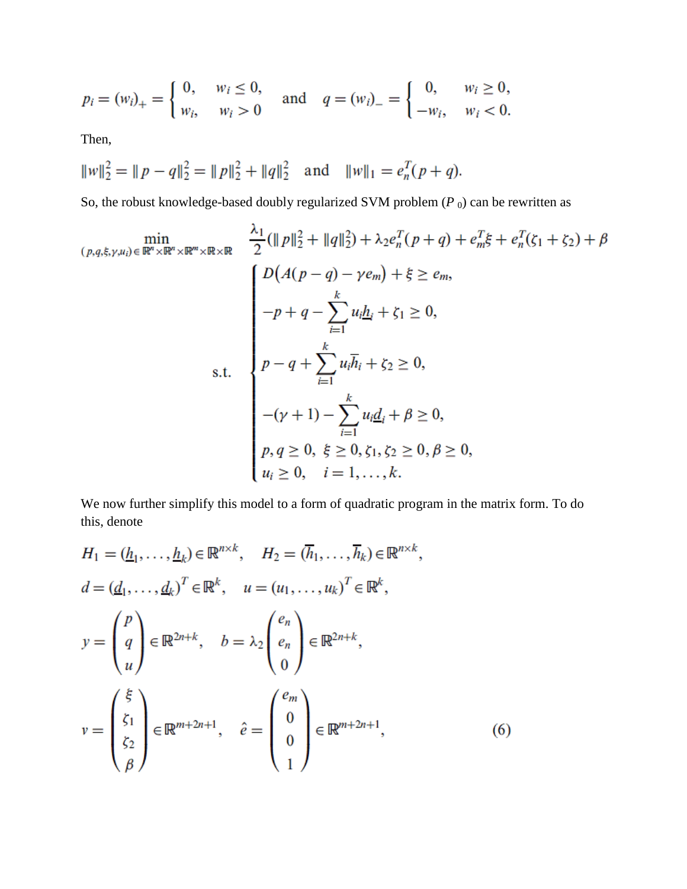$$
p_i = (w_i)_+ = \begin{cases} 0, & w_i \le 0, \\ w_i, & w_i > 0 \end{cases} \text{ and } q = (w_i)_- = \begin{cases} 0, & w_i \ge 0, \\ -w_i, & w_i < 0. \end{cases}
$$

Then,

$$
||w||_2^2 = ||p - q||_2^2 = ||p||_2^2 + ||q||_2^2 \text{ and } ||w||_1 = e_n^T(p + q).
$$

So, the robust knowledge-based doubly regularized SVM problem  $(P_0)$  can be rewritten as

$$
\min_{(p,q,\xi,\gamma,u_i)\in\mathbb{R}^n\times\mathbb{R}^m\times\mathbb{R}^m\times\mathbb{R}}\frac{\lambda_1}{2}(\|p\|_2^2 + \|q\|_2^2) + \lambda_2e_n^T(p+q) + e_m^T\xi + e_n^T(\zeta_1 + \zeta_2) + \beta
$$
\n
$$
D(A(p-q) - \gamma e_m) + \xi \ge e_m,
$$
\n
$$
-p+q - \sum_{i=1}^k u_i\underline{h}_i + \zeta_1 \ge 0,
$$
\n
$$
p-q+\sum_{i=1}^k u_i\overline{h}_i + \zeta_2 \ge 0,
$$
\n
$$
-(\gamma+1) - \sum_{i=1}^k u_i\underline{d}_i + \beta \ge 0,
$$
\n
$$
p,q \ge 0, \xi \ge 0, \zeta_1, \zeta_2 \ge 0, \beta \ge 0,
$$
\n
$$
u_i \ge 0, \quad i = 1, ..., k.
$$

We now further simplify this model to a form of quadratic program in the matrix form. To do this, denote

$$
H_1 = (\underline{h}_1, \dots, \underline{h}_k) \in \mathbb{R}^{n \times k}, \quad H_2 = (\overline{h}_1, \dots, \overline{h}_k) \in \mathbb{R}^{n \times k},
$$
  
\n
$$
d = (\underline{d}_1, \dots, \underline{d}_k)^T \in \mathbb{R}^k, \quad u = (u_1, \dots, u_k)^T \in \mathbb{R}^k,
$$
  
\n
$$
y = \begin{pmatrix} p \\ q \\ u \end{pmatrix} \in \mathbb{R}^{2n+k}, \quad b = \lambda_2 \begin{pmatrix} e_n \\ e_n \\ 0 \end{pmatrix} \in \mathbb{R}^{2n+k},
$$
  
\n
$$
v = \begin{pmatrix} \xi \\ \xi_1 \\ \xi_2 \\ \beta \end{pmatrix} \in \mathbb{R}^{m+2n+1}, \quad \hat{e} = \begin{pmatrix} e_m \\ 0 \\ 0 \\ 1 \end{pmatrix} \in \mathbb{R}^{m+2n+1}, \quad (6)
$$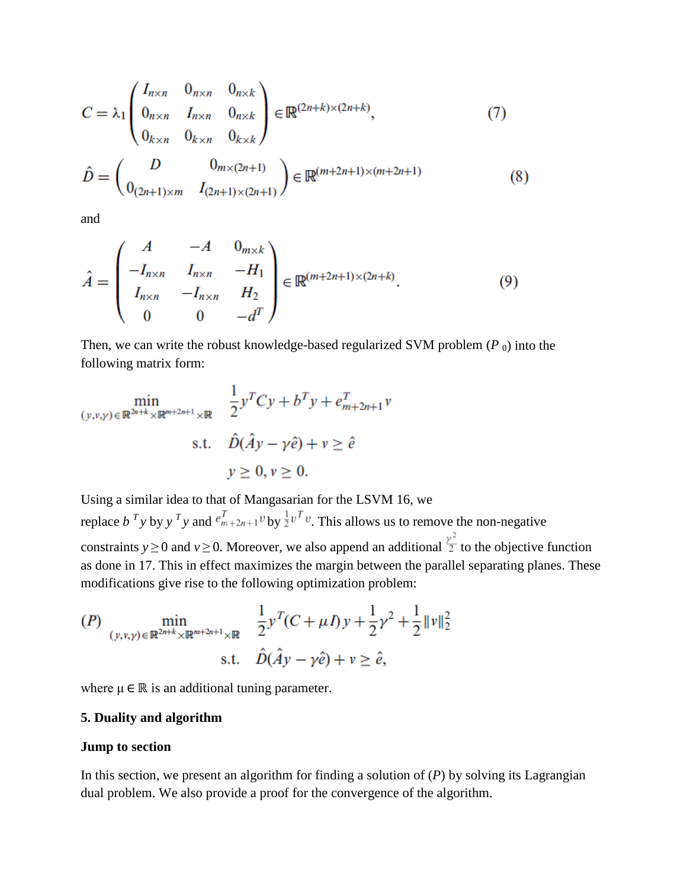$$
C = \lambda_1 \begin{pmatrix} I_{n \times n} & 0_{n \times n} & 0_{n \times k} \\ 0_{n \times n} & I_{n \times n} & 0_{n \times k} \\ 0_{k \times n} & 0_{k \times n} & 0_{k \times k} \end{pmatrix} \in \mathbb{R}^{(2n+k) \times (2n+k)},
$$
(7)  

$$
\hat{D} = \begin{pmatrix} D & 0_{m \times (2n+1)} \\ 0_{(2n+1) \times m} & I_{(2n+1) \times (2n+1)} \end{pmatrix} \in \mathbb{R}^{(m+2n+1) \times (m+2n+1)}
$$
(8)

and

$$
\hat{A} = \begin{pmatrix} A & -A & 0_{m \times k} \\ -I_{n \times n} & I_{n \times n} & -H_1 \\ I_{n \times n} & -I_{n \times n} & H_2 \\ 0 & 0 & -d^T \end{pmatrix} \in \mathbb{R}^{(m+2n+1) \times (2n+k)}.
$$
\n(9)

Then, we can write the robust knowledge-based regularized SVM problem  $(P_0)$  into the following matrix form:

$$
\min_{(y,v,y)\in\mathbb{R}^{2n+k}\times\mathbb{R}^{m+2n+1}\times\mathbb{R}}\quad \frac{1}{2}y^TCy + b^Ty + e_{m+2n+1}^T v
$$
\n
$$
\text{s.t.}\quad \hat{D}(\hat{A}y - \gamma\hat{e}) + v \ge \hat{e}
$$
\n
$$
y \ge 0, v \ge 0.
$$

Using a similar idea to that of Mangasarian for the LSVM 16, we replace  $b^T y$  by  $y^T y$  and  $e_{m+2n+1}^T v$  by  $\frac{1}{2}v^T v$ . This allows us to remove the non-negative constraints *y*<sup> $\ge$ </sup>0 and *v*<sup> $\ge$ </sup>0. Moreover, we also append an additional  $\frac{\gamma^2}{2}$  to the objective function as done in 17. This in effect maximizes the margin between the parallel separating planes. These modifications give rise to the following optimization problem:

$$
(P) \min_{(y,v,y)\in\mathbb{R}^{2n+k}\times\mathbb{R}^{m+2n+1}\times\mathbb{R}} \frac{1}{2}y^T(C+\mu I)y + \frac{1}{2}\gamma^2 + \frac{1}{2}\|\nu\|_2^2
$$
  
s.t.  $\hat{D}(\hat{A}y - \gamma\hat{e}) + \nu \ge \hat{e}$ ,

where  $\mu \in \mathbb{R}$  is an additional tuning parameter.

#### **5. Duality and algorithm**

#### **Jump to section**

In this section, we present an algorithm for finding a solution of (*P*) by solving its Lagrangian dual problem. We also provide a proof for the convergence of the algorithm.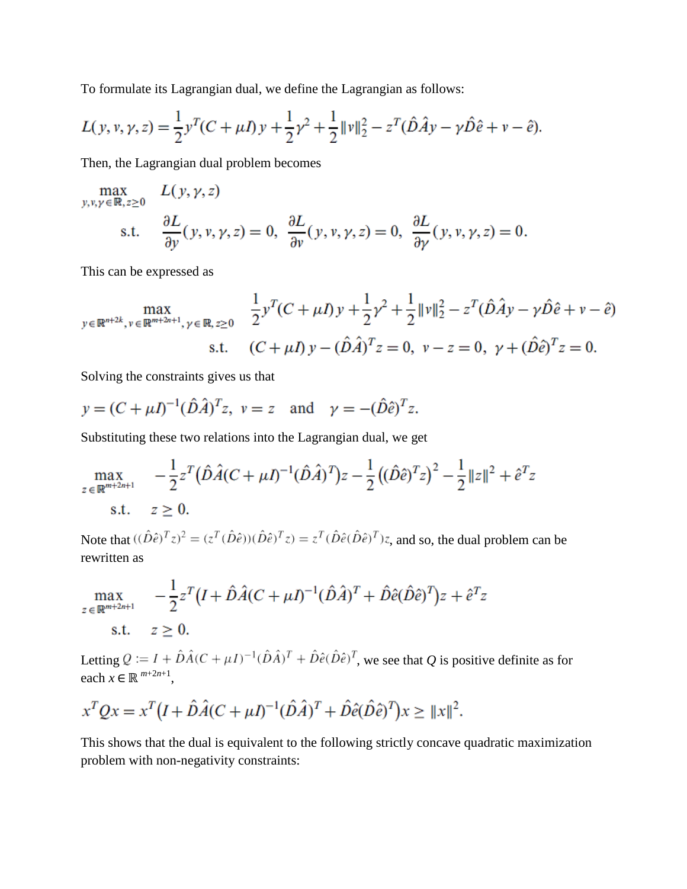To formulate its Lagrangian dual, we define the Lagrangian as follows:

$$
L(y, v, \gamma, z) = \frac{1}{2}y^{T}(C + \mu I)y + \frac{1}{2}\gamma^{2} + \frac{1}{2}\|\nu\|_{2}^{2} - z^{T}(\hat{D}\hat{A}y - \gamma \hat{D}\hat{e} + \nu - \hat{e}).
$$

Then, the Lagrangian dual problem becomes

$$
\max_{y, v, \gamma \in \mathbb{R}, z \ge 0} L(y, \gamma, z)
$$
  
s.t. 
$$
\frac{\partial L}{\partial y}(y, v, \gamma, z) = 0, \frac{\partial L}{\partial v}(y, v, \gamma, z) = 0, \frac{\partial L}{\partial \gamma}(y, v, \gamma, z) = 0.
$$

This can be expressed as

$$
\max_{y \in \mathbb{R}^{n+2k}, v \in \mathbb{R}^{m+2n+1}, \gamma \in \mathbb{R}, z \ge 0} \frac{\frac{1}{2}y^T(C + \mu I)y + \frac{1}{2}\gamma^2 + \frac{1}{2}\|\nu\|_2^2 - z^T(\hat{D}\hat{A}y - \gamma\hat{D}\hat{e} + v - \hat{e})}{s.t. (C + \mu I)y - (\hat{D}\hat{A})^T z = 0, v - z = 0, \gamma + (\hat{D}\hat{e})^T z = 0.
$$

Solving the constraints gives us that

$$
y = (C + \mu I)^{-1} (\hat{D}\hat{A})^T z
$$
,  $v = z$  and  $\gamma = -(\hat{D}\hat{e})^T z$ .

Substituting these two relations into the Lagrangian dual, we get

$$
\max_{z \in \mathbb{R}^{m+2n+1}} \quad -\frac{1}{2} z^T (\hat{D}\hat{A}(C+\mu I)^{-1} (\hat{D}\hat{A})^T) z - \frac{1}{2} ((\hat{D}\hat{e})^T z)^2 - \frac{1}{2} ||z||^2 + \hat{e}^T z
$$
\n
$$
\text{s.t.} \quad z \ge 0.
$$

Note that  $((\hat{D}\hat{e})^T z)^2 = (z^T(\hat{D}\hat{e}))(\hat{D}\hat{e})^T z = z^T(\hat{D}\hat{e}(\hat{D}\hat{e})^T)z$ , and so, the dual problem can be rewritten as

$$
\max_{z \in \mathbb{R}^{m+2n+1}} \quad -\frac{1}{2} z^T (I + \hat{D}\hat{A}(C + \mu I)^{-1} (\hat{D}\hat{A})^T + \hat{D}\hat{e}(\hat{D}\hat{e})^T) z + \hat{e}^T z
$$
\ns.t.  $z > 0$ .

Letting  $Q := I + \hat{D}\hat{A}(C + \mu I)^{-1}(\hat{D}\hat{A})^T + \hat{D}\hat{e}(\hat{D}\hat{e})^T$ , we see that *Q* is positive definite as for each  $x \in \mathbb{R}^{m+2n+1}$ ,

$$
x^T Q x = x^T (I + \hat{D}\hat{A}(C + \mu I)^{-1} (\hat{D}\hat{A})^T + \hat{D}\hat{e}(\hat{D}\hat{e})^T) x \ge ||x||^2.
$$

This shows that the dual is equivalent to the following strictly concave quadratic maximization problem with non-negativity constraints: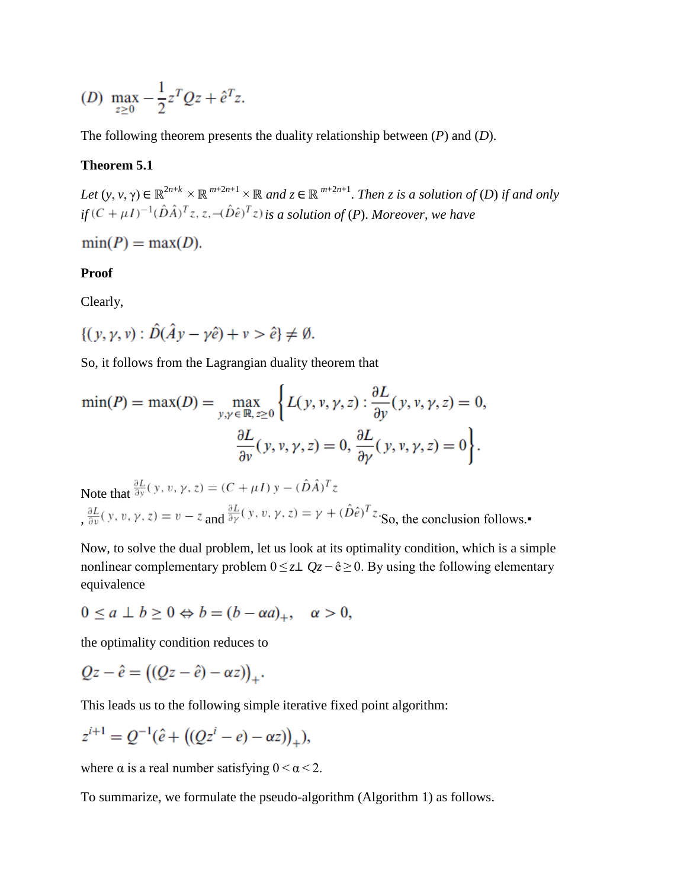(D) 
$$
\max_{z \ge 0} -\frac{1}{2}z^TQz + \hat{e}^Tz
$$
.

The following theorem presents the duality relationship between (*P*) and (*D*).

#### **Theorem 5.1**

*Let*  $(y, v, \gamma) \in \mathbb{R}^{2n+k} \times \mathbb{R}^{m+2n+1} \times \mathbb{R}$  and  $z \in \mathbb{R}^{m+2n+1}$ . *Then z is a solution of* (*D*) *if and only*  $if(C + \mu I)^{-1}(\hat{D}\hat{A})^T z, z, -(\hat{D}\hat{e})^T z)$  *is a solution of* (*P*). *Moreover*, *we have* 

$$
\min(P) = \max(D).
$$

#### **Proof**

Clearly,

$$
\{(y, \gamma, v) : \hat{D}(\hat{A}y - \gamma \hat{e}) + v > \hat{e}\} \neq \emptyset.
$$

So, it follows from the Lagrangian duality theorem that

$$
\min(P) = \max(D) = \max_{y, y \in \mathbb{R}, z \ge 0} \left\{ L(y, y, \gamma, z) : \frac{\partial L}{\partial y}(y, y, \gamma, z) = 0, \frac{\partial L}{\partial y}(y, y, \gamma, z) = 0, \frac{\partial L}{\partial y}(y, y, \gamma, z) = 0 \right\}.
$$

Note that  $\frac{\partial L}{\partial y}(y, v, \gamma, z) = (C + \mu I) y - (\hat{D}\hat{A})^T z$  $, \frac{\partial L}{\partial v}(y, v, \gamma, z) = v - z$  and  $\frac{\partial L}{\partial y}(y, v, \gamma, z) = \gamma + (\hat{D}\hat{e})^T z$ . So, the conclusion follows.

Now, to solve the dual problem, let us look at its optimality condition, which is a simple nonlinear complementary problem  $0 \le z \perp Qz - \hat{e} \ge 0$ . By using the following elementary equivalence

$$
0 \le a \perp b \ge 0 \Leftrightarrow b = (b - \alpha a)_+, \quad \alpha > 0,
$$

the optimality condition reduces to

$$
Qz - \hat{e} = ((Qz - \hat{e}) - \alpha z))_+.
$$

This leads us to the following simple iterative fixed point algorithm:

$$
z^{i+1} = Q^{-1}(\hat{e} + ((Qz^{i} - e) - \alpha z))_{+}),
$$

where  $\alpha$  is a real number satisfying  $0 < \alpha < 2$ .

To summarize, we formulate the pseudo-algorithm (Algorithm 1) as follows.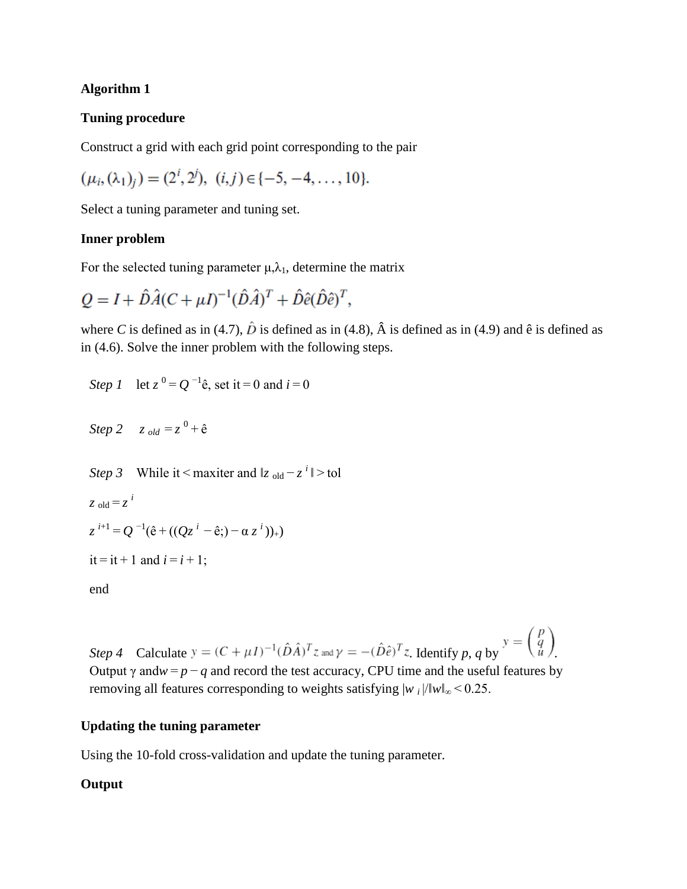## **Algorithm 1**

## **Tuning procedure**

Construct a grid with each grid point corresponding to the pair

$$
(\mu_i, (\lambda_1)_j) = (2^i, 2^j), \ (i, j) \in \{-5, -4, \dots, 10\}.
$$

Select a tuning parameter and tuning set.

## **Inner problem**

For the selected tuning parameter  $\mu, \lambda_1$ , determine the matrix

$$
Q = I + \hat{D}\hat{A}(C + \mu I)^{-1}(\hat{D}\hat{A})^T + \hat{D}\hat{e}(\hat{D}\hat{e})^T,
$$

where *C* is defined as in (4.7),  $\hat{D}$  is defined as in (4.8),  $\hat{A}$  is defined as in (4.9) and  $\hat{e}$  is defined as in (4.6). Solve the inner problem with the following steps.

Step 1 let 
$$
z^0 = Q^{-1} \hat{e}
$$
, set it = 0 and  $i = 0$ 

Step 2 
$$
z_{old} = z^0 + \hat{e}
$$

*Step 3* While it  $\leq$  maxiter and  $\|z_{old} - z^i\|$  > tol  $z_{\text{old}} = z^{i}$  $z^{i+1} = Q^{-1}(\hat{e} + ((Qz^{i} - \hat{e};) - \alpha z^{i}))_{+})$  $it =$  $it + 1$  and  $i = i + 1$ ; end

*Step 4* Calculate  $y = (C + \mu I)^{-1} (\hat{D}\hat{A})^T z$  and  $\gamma = -(\hat{D}\hat{e})^T z$ . Identify p, q by  $y = \begin{pmatrix} p \\ q \\ u \end{pmatrix}$ . Output  $\gamma$  and $w = p - q$  and record the test accuracy, CPU time and the useful features by removing all features corresponding to weights satisfying  $|w_i|/||w||_{\infty}$  < 0.25.

# **Updating the tuning parameter**

Using the 10-fold cross-validation and update the tuning parameter.

# **Output**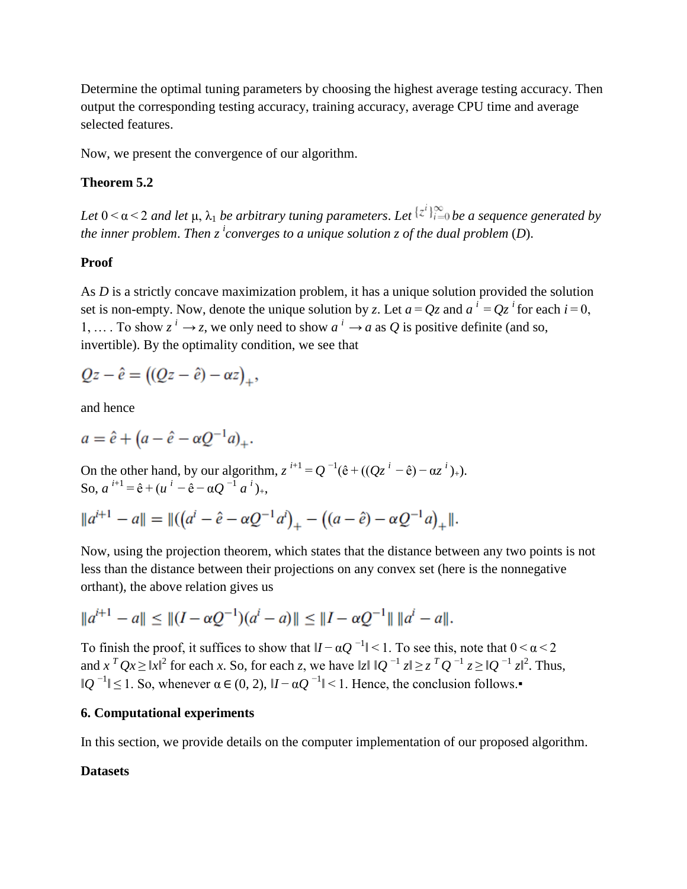Determine the optimal tuning parameters by choosing the highest average testing accuracy. Then output the corresponding testing accuracy, training accuracy, average CPU time and average selected features.

Now, we present the convergence of our algorithm.

### **Theorem 5.2**

*Let*  $0 < \alpha < 2$  *and let*  $\mu$ ,  $\lambda_1$  *be arbitrary tuning parameters. Let*  $\{z^i\}_{i=0}^{\infty}$  *be a sequence generated by the inner problem*. *Then z <sup>i</sup> converges to a unique solution z of the dual problem* (*D*).

### **Proof**

As *D* is a strictly concave maximization problem, it has a unique solution provided the solution set is non-empty. Now, denote the unique solution by *z*. Let  $a = Qz$  and  $a^i = Qz^i$  for each  $i = 0$ , 1, ... To show  $z^i \rightarrow z$ , we only need to show  $a^i \rightarrow a$  as Q is positive definite (and so, invertible). By the optimality condition, we see that

$$
Qz - \hat{e} = ((Qz - \hat{e}) - \alpha z)_+,
$$

and hence

$$
a = \hat{e} + (a - \hat{e} - \alpha Q^{-1}a)_+.
$$

On the other hand, by our algorithm,  $z^{i+1} = Q^{-1}(\hat{e} + ((Qz^{i} - \hat{e}) - \alpha z^{i})_{+})$ . So,  $a^{i+1} = \hat{e} + (u^{i} - \hat{e} - \alpha Q^{-1} a^{i})_{+}$ 

$$
||a^{i+1} - a|| = ||((a^i - \hat{e} - \alpha Q^{-1}a^i)_+ - ((a - \hat{e}) - \alpha Q^{-1}a)_+||.
$$

Now, using the projection theorem, which states that the distance between any two points is not less than the distance between their projections on any convex set (here is the nonnegative orthant), the above relation gives us

$$
||a^{i+1} - a|| \le ||(I - \alpha Q^{-1})(a^i - a)|| \le ||I - \alpha Q^{-1}|| \, ||a^i - a||.
$$

To finish the proof, it suffices to show that  $|I - \alpha Q^{-1}| < 1$ . To see this, note that  $0 < \alpha < 2$ and  $x^T Qx \ge |x|^2$  for each *x*. So, for each *z*, we have  $|z| |Q^{-1} z| \ge z^T Q^{-1} z \ge |Q^{-1} z|^2$ . Thus,  $\|Q^{-1}\|$  ≤ 1. So, whenever  $\alpha \in (0, 2)$ ,  $|I - \alpha Q^{-1}|$  < 1. Hence, the conclusion follows.

### **6. Computational experiments**

In this section, we provide details on the computer implementation of our proposed algorithm.

#### **Datasets**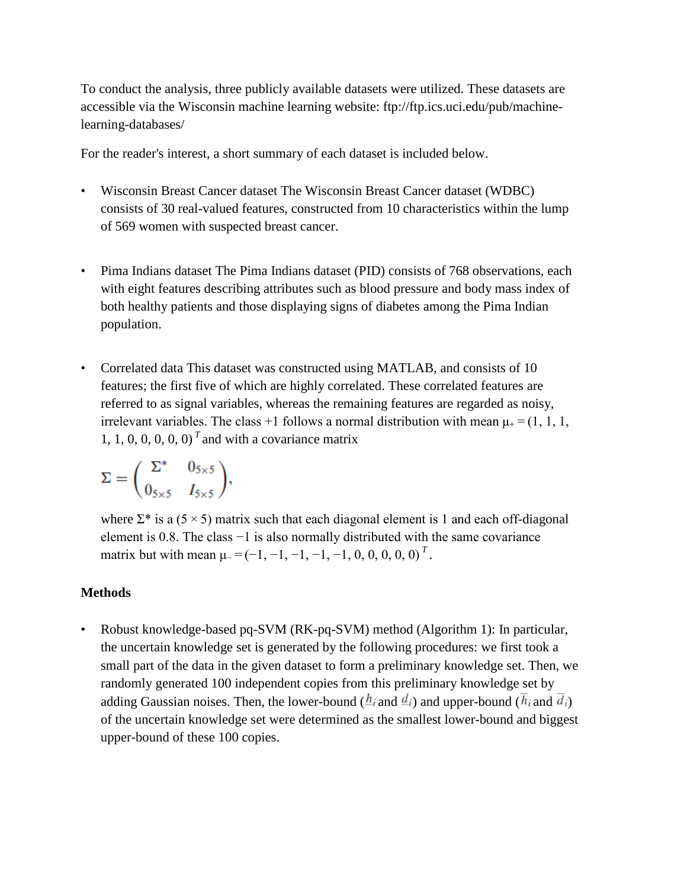To conduct the analysis, three publicly available datasets were utilized. These datasets are accessible via the Wisconsin machine learning website: ftp://ftp.ics.uci.edu/pub/machinelearning-databases/

For the reader's interest, a short summary of each dataset is included below.

- Wisconsin Breast Cancer dataset The Wisconsin Breast Cancer dataset (WDBC) consists of 30 real-valued features, constructed from 10 characteristics within the lump of 569 women with suspected breast cancer.
- Pima Indians dataset The Pima Indians dataset (PID) consists of 768 observations, each with eight features describing attributes such as blood pressure and body mass index of both healthy patients and those displaying signs of diabetes among the Pima Indian population.
- Correlated data This dataset was constructed using MATLAB, and consists of 10 features; the first five of which are highly correlated. These correlated features are referred to as signal variables, whereas the remaining features are regarded as noisy, irrelevant variables. The class +1 follows a normal distribution with mean  $\mu_+ = (1, 1, 1, 1)$ 1, 1, 0, 0, 0, 0, 0)<sup> $T$ </sup> and with a covariance matrix

$$
\Sigma = \begin{pmatrix} \Sigma^* & 0_{5 \times 5} \\ 0_{5 \times 5} & I_{5 \times 5} \end{pmatrix},
$$

where  $\Sigma^*$  is a (5 × 5) matrix such that each diagonal element is 1 and each off-diagonal element is 0.8. The class −1 is also normally distributed with the same covariance matrix but with mean  $\mu$ <sup>-</sup> =  $(-1, -1, -1, -1, -1, 0, 0, 0, 0, 0)^T$ .

### **Methods**

• Robust knowledge-based pq-SVM (RK-pq-SVM) method (Algorithm 1): In particular, the uncertain knowledge set is generated by the following procedures: we first took a small part of the data in the given dataset to form a preliminary knowledge set. Then, we randomly generated 100 independent copies from this preliminary knowledge set by adding Gaussian noises. Then, the lower-bound ( $h_i$  and  $\bar{d}_i$ ) and upper-bound ( $\bar{h}_i$  and  $\bar{d}_i$ ) of the uncertain knowledge set were determined as the smallest lower-bound and biggest upper-bound of these 100 copies.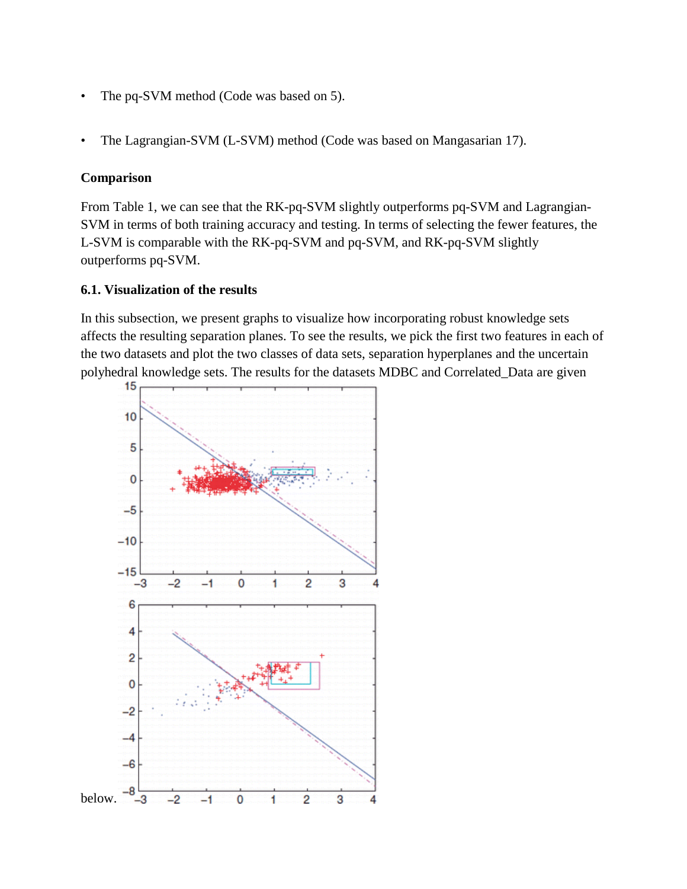- The pq-SVM method (Code was based on 5).
- The Lagrangian-SVM (L-SVM) method (Code was based on Mangasarian 17).

## **Comparison**

From Table 1, we can see that the RK-pq-SVM slightly outperforms pq-SVM and Lagrangian-SVM in terms of both training accuracy and testing. In terms of selecting the fewer features, the L-SVM is comparable with the RK-pq-SVM and pq-SVM, and RK-pq-SVM slightly outperforms pq-SVM.

## **6.1. Visualization of the results**

In this subsection, we present graphs to visualize how incorporating robust knowledge sets affects the resulting separation planes. To see the results, we pick the first two features in each of the two datasets and plot the two classes of data sets, separation hyperplanes and the uncertain polyhedral knowledge sets. The results for the datasets MDBC and Correlated\_Data are given

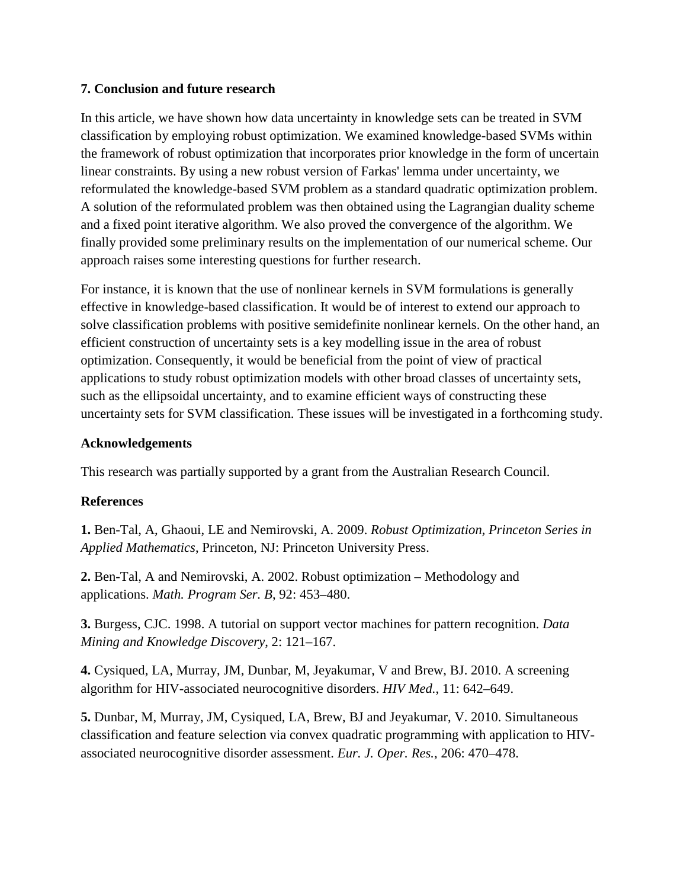# **7. Conclusion and future research**

In this article, we have shown how data uncertainty in knowledge sets can be treated in SVM classification by employing robust optimization. We examined knowledge-based SVMs within the framework of robust optimization that incorporates prior knowledge in the form of uncertain linear constraints. By using a new robust version of Farkas' lemma under uncertainty, we reformulated the knowledge-based SVM problem as a standard quadratic optimization problem. A solution of the reformulated problem was then obtained using the Lagrangian duality scheme and a fixed point iterative algorithm. We also proved the convergence of the algorithm. We finally provided some preliminary results on the implementation of our numerical scheme. Our approach raises some interesting questions for further research.

For instance, it is known that the use of nonlinear kernels in SVM formulations is generally effective in knowledge-based classification. It would be of interest to extend our approach to solve classification problems with positive semidefinite nonlinear kernels. On the other hand, an efficient construction of uncertainty sets is a key modelling issue in the area of robust optimization. Consequently, it would be beneficial from the point of view of practical applications to study robust optimization models with other broad classes of uncertainty sets, such as the ellipsoidal uncertainty, and to examine efficient ways of constructing these uncertainty sets for SVM classification. These issues will be investigated in a forthcoming study.

## **Acknowledgements**

This research was partially supported by a grant from the Australian Research Council.

# **References**

**1.** Ben-Tal, A, Ghaoui, LE and Nemirovski, A. 2009. *Robust Optimization, Princeton Series in Applied Mathematics*, Princeton, NJ: Princeton University Press.

**2.** Ben-Tal, A and Nemirovski, A. 2002. Robust optimization – Methodology and applications. *Math. Program Ser. B*, 92: 453–480.

**3.** Burgess, CJC. 1998. A tutorial on support vector machines for pattern recognition. *Data Mining and Knowledge Discovery*, 2: 121–167.

**4.** Cysiqued, LA, Murray, JM, Dunbar, M, Jeyakumar, V and Brew, BJ. 2010. A screening algorithm for HIV-associated neurocognitive disorders. *HIV Med.*, 11: 642–649.

**5.** Dunbar, M, Murray, JM, Cysiqued, LA, Brew, BJ and Jeyakumar, V. 2010. Simultaneous classification and feature selection via convex quadratic programming with application to HIVassociated neurocognitive disorder assessment. *Eur. J. Oper. Res.*, 206: 470–478.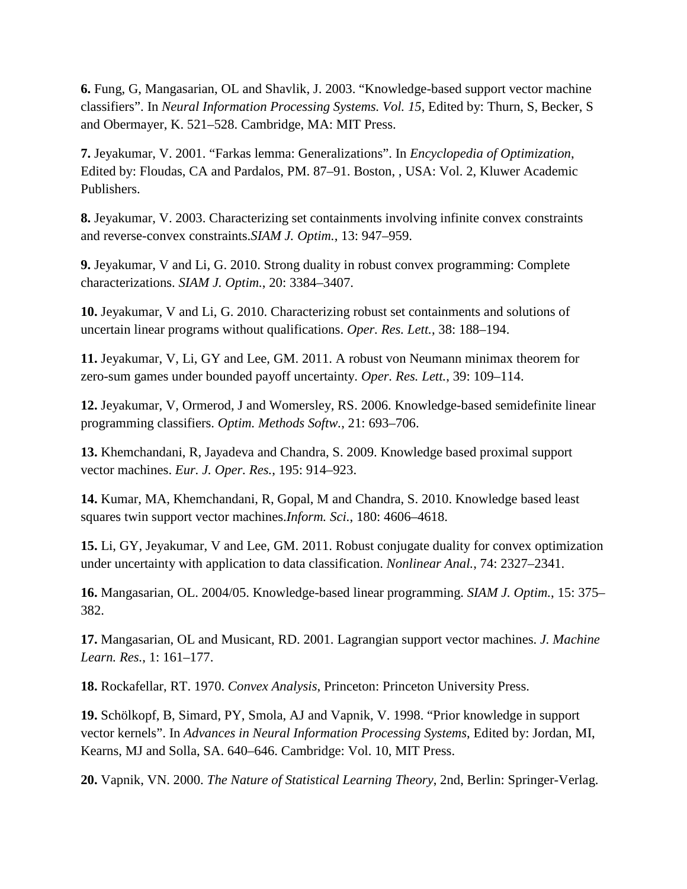**6.** Fung, G, Mangasarian, OL and Shavlik, J. 2003. "Knowledge-based support vector machine classifiers". In *Neural Information Processing Systems. Vol. 15*, Edited by: Thurn, S, Becker, S and Obermayer, K. 521–528. Cambridge, MA: MIT Press.

**7.** Jeyakumar, V. 2001. "Farkas lemma: Generalizations". In *Encyclopedia of Optimization*, Edited by: Floudas, CA and Pardalos, PM. 87–91. Boston, , USA: Vol. 2, Kluwer Academic Publishers.

**8.** Jeyakumar, V. 2003. Characterizing set containments involving infinite convex constraints and reverse-convex constraints.*SIAM J. Optim.*, 13: 947–959.

**9.** Jeyakumar, V and Li, G. 2010. Strong duality in robust convex programming: Complete characterizations. *SIAM J. Optim.*, 20: 3384–3407.

**10.** Jeyakumar, V and Li, G. 2010. Characterizing robust set containments and solutions of uncertain linear programs without qualifications. *Oper. Res. Lett.*, 38: 188–194.

**11.** Jeyakumar, V, Li, GY and Lee, GM. 2011. A robust von Neumann minimax theorem for zero-sum games under bounded payoff uncertainty. *Oper. Res. Lett.*, 39: 109–114.

**12.** Jeyakumar, V, Ormerod, J and Womersley, RS. 2006. Knowledge-based semidefinite linear programming classifiers. *Optim. Methods Softw.*, 21: 693–706.

**13.** Khemchandani, R, Jayadeva and Chandra, S. 2009. Knowledge based proximal support vector machines. *Eur. J. Oper. Res.*, 195: 914–923.

**14.** Kumar, MA, Khemchandani, R, Gopal, M and Chandra, S. 2010. Knowledge based least squares twin support vector machines.*Inform. Sci.*, 180: 4606–4618.

**15.** Li, GY, Jeyakumar, V and Lee, GM. 2011. Robust conjugate duality for convex optimization under uncertainty with application to data classification. *Nonlinear Anal.*, 74: 2327–2341.

**16.** Mangasarian, OL. 2004/05. Knowledge-based linear programming. *SIAM J. Optim.*, 15: 375– 382.

**17.** Mangasarian, OL and Musicant, RD. 2001. Lagrangian support vector machines. *J. Machine Learn. Res.*, 1: 161–177.

**18.** Rockafellar, RT. 1970. *Convex Analysis*, Princeton: Princeton University Press.

**19.** Schölkopf, B, Simard, PY, Smola, AJ and Vapnik, V. 1998. "Prior knowledge in support vector kernels". In *Advances in Neural Information Processing Systems*, Edited by: Jordan, MI, Kearns, MJ and Solla, SA. 640–646. Cambridge: Vol. 10, MIT Press.

**20.** Vapnik, VN. 2000. *The Nature of Statistical Learning Theory*, 2nd, Berlin: Springer-Verlag.